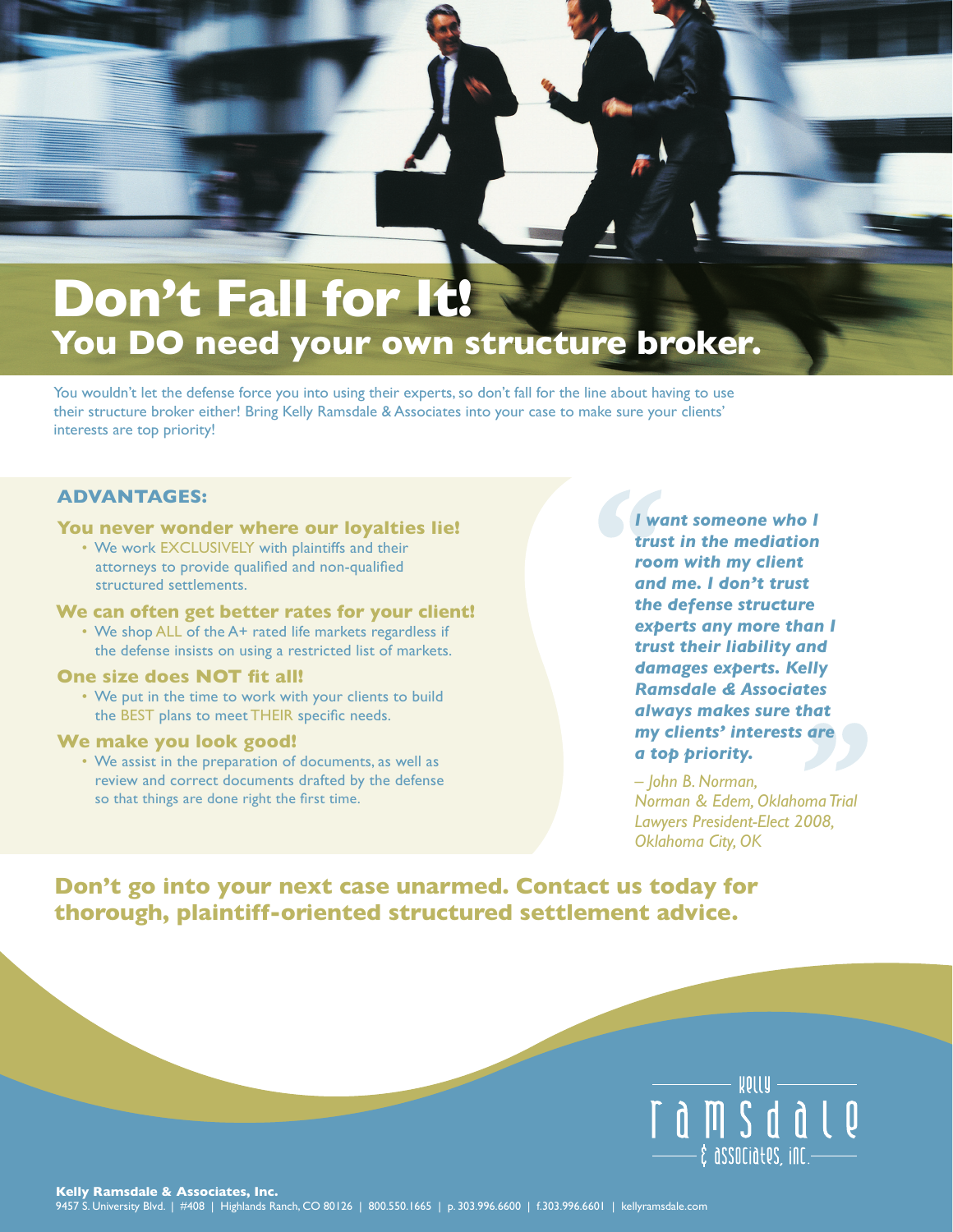# Don't Fall for It! **You DO need your own structure broker.**

You wouldn't let the defense force you into using their experts, so don't fall for the line about having to use their structure broker either! Bring Kelly Ramsdale & Associates into your case to make sure your clients' interests are top priority!

## **ADVANTAGES:**

#### **You never wonder where our loyalties lie!**

• We work EXCLUSIVELY with plaintiffs and their attorneys to provide qualified and non-qualified structured settlements.

#### **We can often get better rates for your client!**

• We shop ALL of the A+ rated life markets regardless if the defense insists on using a restricted list of markets.

### **One size does NOT fit all!**

• We put in the time to work with your clients to build the BEST plans to meet THEIR specific needs.

#### **We make you look good!**

• We assist in the preparation of documents, as well as review and correct documents drafted by the defense so that things are done right the first time.

*I want someone who I trust in the mediation room with my client and me. I don't trust the defense structure experts any more than I trust their liability and damages experts. Kelly Ramsdale & Associates always makes sure that my clients' interests are a top priority.*

*– John B. Norman, Norman & Edem, Oklahoma Trial Lawyers President-Elect 2008, Oklahoma City, OK* 

**Don't go into your next case unarmed. Contact us today for thorough, plaintiff-oriented structured settlement advice.**